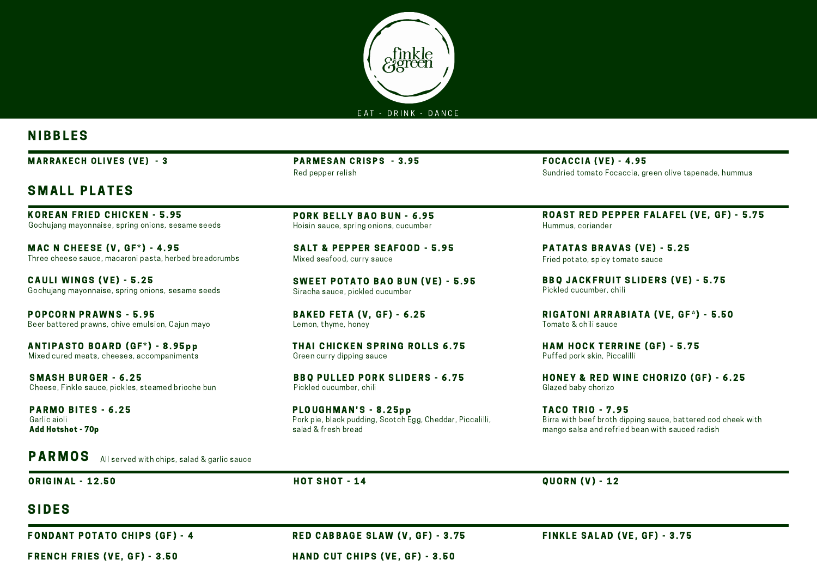

## **NIBBLES**

MARRAKECH OLIVES (VE) - 3 THE RESAN CRISPS - 3.95 FOCACCIA (VE) - 4.95

Red pepper relish Sundried tomato Focaccia, green olive tapenade, hummus

## **SMALL PLATES**

KOREAN FRIED CHICKEN - 5.95 Gochujang mayonnaise, spring onions, sesame seeds

**MAC N CHEESE (V, GF\*) - 4.95** Three cheese sauce, macaroni pasta, herbed breadcrumbs

CAULI WINGS (VE) - 5.25 Gochujang mayonnaise, spring onions, sesame seeds

POPCORN PRAWNS - 5 . 9 5 Beer battered prawns, chive emulsion, Cajun mayo

ANTIPASTO BOARD (GF<sup>\*</sup>) - 8.95pp Mixed cured meats, cheeses, accompaniments

SMASH BURGER - 6.25 Cheese, Finkle sauce, pickles, steamed brioche bun

PARMO BITES - 6.25 Garlic aioli Add Hotshot - 70p

PORK BELLY BAO BUN - 6.95 Hoisin sauce, spring onions, cucumber

SALT & PEPPER SEAFOOD - 5.95 Mixed seafood, curry sauce

SWEET POTATO BAO BUN (VE) - 5.95 Siracha sauce, pickled cucumber

BAKED FETA (V, GF)  $-6.25$ Lemon, thyme, honey

THAI CHICKEN SPRING ROLLS 6.75 Green curry dipping sauce

**BBQ PULLED PORK SLIDERS - 6.75** Pickled cucumber, chili

PLOUGHMAN'S - 8.25pp Pork pie, black pudding, Scotch Egg, Cheddar, Piccalilli, salad & fresh bread

ROAST RED PEPPER FALAFEL (VE, GF) - 5.75 Hummus, coriander

PATATAS BRAVAS (VE) - 5.25 Fried potato, spicy tomato sauce

**BBQ JACKFRUIT SLIDERS (VE) - 5.75** Pickled cucumber, chili

RIGATONI ARRABIATA (VE, GF\*) - 5.50 Tomato & chili sauce

HAM HOCK TERRINE (GF) - 5.75 Puffed pork skin, Piccalilli

HONEY & RED WINE CHORIZO (GF) - 6.25 Glazed baby chorizo

TACO TRIO - 7 . 9 5 Birra with beef broth dipping sauce, battered cod cheek with mango salsa and refried bean with sauced radish

**PARMOS** All served with chips, salad & garlic sauce

**ORIGINAL - 12.50** 

HOT SHOT - 14 QUORN (V) - 12

## SIDES

FONDANT POTATO CHIPS (GF) - 4

FRENCH FRIES (VE, GF) - 3.50

RED CABBAGE SLAW (V, GF) - 3.75 FINKLE SALAD (VE, GF) - 3.75

HAND CUT CHIPS (VE, GF) - 3.50